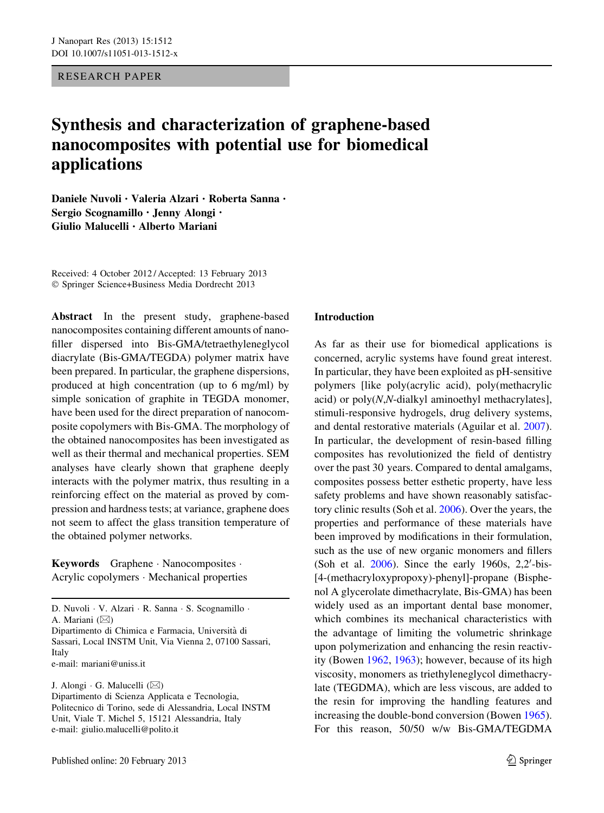<span id="page-0-0"></span>RESEARCH PAPER

# Synthesis and characterization of graphene-based nanocomposites with potential use for biomedical applications

Daniele Nuvoli • Valeria Alzari • Roberta Sanna • Sergio Scognamillo • Jenny Alongi • Giulio Malucelli • Alberto Mariani

Received: 4 October 2012 / Accepted: 13 February 2013 - Springer Science+Business Media Dordrecht 2013

Abstract In the present study, graphene-based nanocomposites containing different amounts of nanofiller dispersed into Bis-GMA/tetraethyleneglycol diacrylate (Bis-GMA/TEGDA) polymer matrix have been prepared. In particular, the graphene dispersions, produced at high concentration (up to 6 mg/ml) by simple sonication of graphite in TEGDA monomer, have been used for the direct preparation of nanocomposite copolymers with Bis-GMA. The morphology of the obtained nanocomposites has been investigated as well as their thermal and mechanical properties. SEM analyses have clearly shown that graphene deeply interacts with the polymer matrix, thus resulting in a reinforcing effect on the material as proved by compression and hardness tests; at variance, graphene does not seem to affect the glass transition temperature of the obtained polymer networks.

Keywords Graphene - Nanocomposites - Acrylic copolymers - Mechanical properties

D. Nuvoli - V. Alzari - R. Sanna - S. Scognamillo - A. Mariani  $(\boxtimes)$ Dipartimento di Chimica e Farmacia, Universita` di Sassari, Local INSTM Unit, Via Vienna 2, 07100 Sassari, Italy

e-mail: mariani@uniss.it

J. Alongi - G. Malucelli (&) Dipartimento di Scienza Applicata e Tecnologia, Politecnico di Torino, sede di Alessandria, Local INSTM Unit, Viale T. Michel 5, 15121 Alessandria, Italy e-mail: giulio.malucelli@polito.it

# Introduction

As far as their use for biomedical applications is concerned, acrylic systems have found great interest. In particular, they have been exploited as pH-sensitive polymers [like poly(acrylic acid), poly(methacrylic acid) or  $poly(N,N$ -dialkyl aminoethyl methacrylates], stimuli-responsive hydrogels, drug delivery systems, and dental restorative materials (Aguilar et al. [2007](#page-5-0)). In particular, the development of resin-based filling composites has revolutionized the field of dentistry over the past 30 years. Compared to dental amalgams, composites possess better esthetic property, have less safety problems and have shown reasonably satisfactory clinic results (Soh et al. [2006\)](#page-6-0). Over the years, the properties and performance of these materials have been improved by modifications in their formulation, such as the use of new organic monomers and fillers (Soh et al.  $2006$ ). Since the early 1960s, 2,2'-bis-[4-(methacryloxypropoxy)-phenyl]-propane (Bisphenol A glycerolate dimethacrylate, Bis-GMA) has been widely used as an important dental base monomer, which combines its mechanical characteristics with the advantage of limiting the volumetric shrinkage upon polymerization and enhancing the resin reactivity (Bowen [1962](#page-5-0), [1963](#page-5-0)); however, because of its high viscosity, monomers as triethyleneglycol dimethacrylate (TEGDMA), which are less viscous, are added to the resin for improving the handling features and increasing the double-bond conversion (Bowen [1965](#page-6-0)). For this reason, 50/50 w/w Bis-GMA/TEGDMA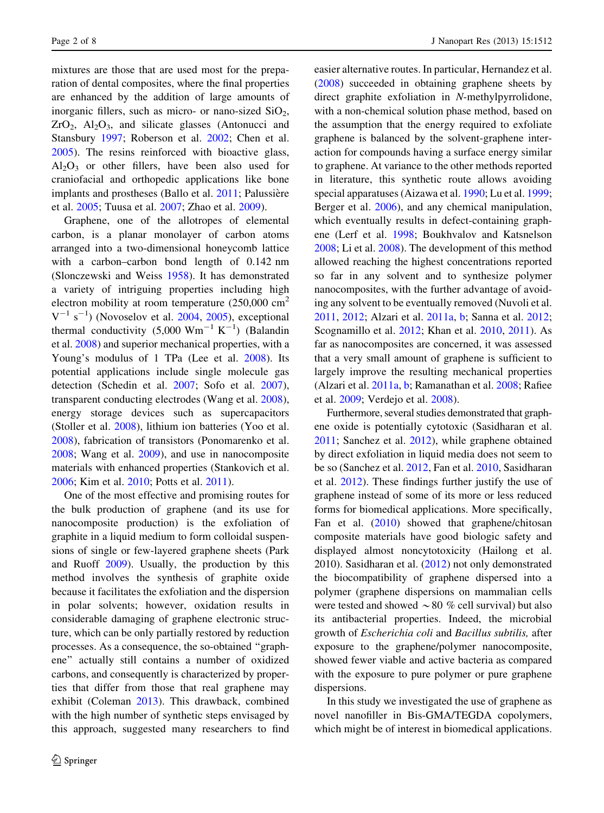mixtures are those that are used most for the preparation of dental composites, where the final properties are enhanced by the addition of large amounts of inorganic fillers, such as micro- or nano-sized  $SiO<sub>2</sub>$ ,  $ZrO<sub>2</sub>$ ,  $Al<sub>2</sub>O<sub>3</sub>$ , and silicate glasses (Antonucci and Stansbury [1997](#page-5-0); Roberson et al. [2002;](#page-6-0) Chen et al. [2005\)](#page-6-0). The resins reinforced with bioactive glass,  $Al_2O_3$  or other fillers, have been also used for craniofacial and orthopedic applications like bone implants and prostheses (Ballo et al. [2011](#page-5-0); Palussière et al. [2005](#page-6-0); Tuusa et al. [2007;](#page-7-0) Zhao et al. [2009](#page-7-0)).

Graphene, one of the allotropes of elemental carbon, is a planar monolayer of carbon atoms arranged into a two-dimensional honeycomb lattice with a carbon–carbon bond length of 0.142 nm (Slonczewski and Weiss [1958](#page-6-0)). It has demonstrated a variety of intriguing properties including high electron mobility at room temperature  $(250,000 \text{ cm}^2)$  $V^{-1}$  s<sup>-1</sup>) (Novoselov et al. [2004,](#page-6-0) [2005\)](#page-6-0), exceptional thermal conductivity  $(5,000 \text{ Wm}^{-1} \text{ K}^{-1})$  (Balandin et al. [2008](#page-5-0)) and superior mechanical properties, with a Young's modulus of 1 TPa (Lee et al. [2008](#page-6-0)). Its potential applications include single molecule gas detection (Schedin et al. [2007;](#page-6-0) Sofo et al. [2007](#page-6-0)), transparent conducting electrodes (Wang et al. [2008](#page-7-0)), energy storage devices such as supercapacitors (Stoller et al. [2008\)](#page-6-0), lithium ion batteries (Yoo et al. [2008\)](#page-7-0), fabrication of transistors (Ponomarenko et al. [2008;](#page-6-0) Wang et al. [2009](#page-7-0)), and use in nanocomposite materials with enhanced properties (Stankovich et al. [2006;](#page-6-0) Kim et al. [2010](#page-6-0); Potts et al. [2011](#page-6-0)).

One of the most effective and promising routes for the bulk production of graphene (and its use for nanocomposite production) is the exfoliation of graphite in a liquid medium to form colloidal suspensions of single or few-layered graphene sheets (Park and Ruoff [2009](#page-6-0)). Usually, the production by this method involves the synthesis of graphite oxide because it facilitates the exfoliation and the dispersion in polar solvents; however, oxidation results in considerable damaging of graphene electronic structure, which can be only partially restored by reduction processes. As a consequence, the so-obtained ''graphene'' actually still contains a number of oxidized carbons, and consequently is characterized by properties that differ from those that real graphene may exhibit (Coleman [2013\)](#page-6-0). This drawback, combined with the high number of synthetic steps envisaged by this approach, suggested many researchers to find

easier alternative routes. In particular, Hernandez et al. [\(2008](#page-6-0)) succeeded in obtaining graphene sheets by direct graphite exfoliation in N-methylpyrrolidone, with a non-chemical solution phase method, based on the assumption that the energy required to exfoliate graphene is balanced by the solvent-graphene interaction for compounds having a surface energy similar to graphene. At variance to the other methods reported in literature, this synthetic route allows avoiding special apparatuses (Aizawa et al. [1990](#page-5-0); Lu et al. [1999](#page-6-0); Berger et al. [2006\)](#page-5-0), and any chemical manipulation, which eventually results in defect-containing graphene (Lerf et al. [1998](#page-6-0); Boukhvalov and Katsnelson [2008;](#page-5-0) Li et al. [2008\)](#page-6-0). The development of this method allowed reaching the highest concentrations reported so far in any solvent and to synthesize polymer nanocomposites, with the further advantage of avoiding any solvent to be eventually removed (Nuvoli et al. [2011,](#page-6-0) [2012](#page-6-0); Alzari et al. [2011a](#page-5-0), [b;](#page-5-0) Sanna et al. [2012](#page-6-0); Scognamillo et al. [2012;](#page-6-0) Khan et al. [2010](#page-6-0), [2011](#page-6-0)). As far as nanocomposites are concerned, it was assessed that a very small amount of graphene is sufficient to largely improve the resulting mechanical properties (Alzari et al. [2011a](#page-5-0), [b;](#page-5-0) Ramanathan et al. [2008;](#page-6-0) Rafiee et al. [2009](#page-6-0); Verdejo et al. [2008\)](#page-7-0).

Furthermore, several studies demonstrated that graphene oxide is potentially cytotoxic (Sasidharan et al. [2011;](#page-6-0) Sanchez et al. [2012](#page-6-0)), while graphene obtained by direct exfoliation in liquid media does not seem to be so (Sanchez et al. [2012](#page-6-0), Fan et al. [2010,](#page-6-0) Sasidharan et al. [2012\)](#page-6-0). These findings further justify the use of graphene instead of some of its more or less reduced forms for biomedical applications. More specifically, Fan et al. [\(2010](#page-6-0)) showed that graphene/chitosan composite materials have good biologic safety and displayed almost noncytotoxicity (Hailong et al. 2010). Sasidharan et al. ([2012\)](#page-6-0) not only demonstrated the biocompatibility of graphene dispersed into a polymer (graphene dispersions on mammalian cells were tested and showed  $\sim 80$  % cell survival) but also its antibacterial properties. Indeed, the microbial growth of Escherichia coli and Bacillus subtilis, after exposure to the graphene/polymer nanocomposite, showed fewer viable and active bacteria as compared with the exposure to pure polymer or pure graphene dispersions.

In this study we investigated the use of graphene as novel nanofiller in Bis-GMA/TEGDA copolymers, which might be of interest in biomedical applications.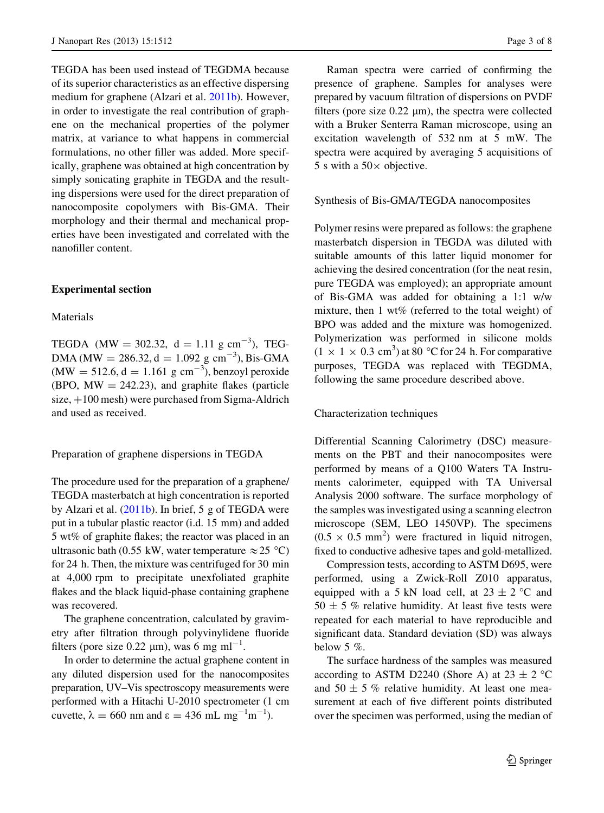TEGDA has been used instead of TEGDMA because of its superior characteristics as an effective dispersing medium for graphene (Alzari et al. [2011b\)](#page-5-0). However, in order to investigate the real contribution of graphene on the mechanical properties of the polymer matrix, at variance to what happens in commercial formulations, no other filler was added. More specifically, graphene was obtained at high concentration by simply sonicating graphite in TEGDA and the resulting dispersions were used for the direct preparation of nanocomposite copolymers with Bis-GMA. Their morphology and their thermal and mechanical properties have been investigated and correlated with the nanofiller content.

# Experimental section

## Materials

TEGDA (MW = 302.32,  $d = 1.11$  g cm<sup>-3</sup>), TEG-DMA (MW = 286.32, d = 1.092 g cm<sup>-3</sup>), Bis-GMA  $(MW = 512.6, d = 1.161 \text{ g cm}^{-3})$ , benzoyl peroxide (BPO,  $MW = 242.23$ ), and graphite flakes (particle size,  $+100$  mesh) were purchased from Sigma-Aldrich and used as received.

## Preparation of graphene dispersions in TEGDA

The procedure used for the preparation of a graphene/ TEGDA masterbatch at high concentration is reported by Alzari et al. [\(2011b](#page-5-0)). In brief, 5 g of TEGDA were put in a tubular plastic reactor (i.d. 15 mm) and added 5 wt% of graphite flakes; the reactor was placed in an ultrasonic bath (0.55 kW, water temperature  $\approx$  25 °C) for 24 h. Then, the mixture was centrifuged for 30 min at 4,000 rpm to precipitate unexfoliated graphite flakes and the black liquid-phase containing graphene was recovered.

The graphene concentration, calculated by gravimetry after filtration through polyvinylidene fluoride filters (pore size 0.22  $\mu$ m), was 6 mg ml<sup>-1</sup>.

In order to determine the actual graphene content in any diluted dispersion used for the nanocomposites preparation, UV–Vis spectroscopy measurements were performed with a Hitachi U-2010 spectrometer (1 cm cuvette,  $\lambda = 660$  nm and  $\epsilon = 436$  mL mg<sup>-1</sup>m<sup>-1</sup>).

Raman spectra were carried of confirming the presence of graphene. Samples for analyses were prepared by vacuum filtration of dispersions on PVDF filters (pore size  $0.22 \mu m$ ), the spectra were collected with a Bruker Senterra Raman microscope, using an excitation wavelength of 532 nm at 5 mW. The spectra were acquired by averaging 5 acquisitions of 5 s with a  $50\times$  objective.

#### Synthesis of Bis-GMA/TEGDA nanocomposites

Polymer resins were prepared as follows: the graphene masterbatch dispersion in TEGDA was diluted with suitable amounts of this latter liquid monomer for achieving the desired concentration (for the neat resin, pure TEGDA was employed); an appropriate amount of Bis-GMA was added for obtaining a 1:1 w/w mixture, then 1 wt% (referred to the total weight) of BPO was added and the mixture was homogenized. Polymerization was performed in silicone molds  $(1 \times 1 \times 0.3 \text{ cm}^3)$  at 80 °C for 24 h. For comparative purposes, TEGDA was replaced with TEGDMA, following the same procedure described above.

## Characterization techniques

Differential Scanning Calorimetry (DSC) measurements on the PBT and their nanocomposites were performed by means of a Q100 Waters TA Instruments calorimeter, equipped with TA Universal Analysis 2000 software. The surface morphology of the samples was investigated using a scanning electron microscope (SEM, LEO 1450VP). The specimens  $(0.5 \times 0.5 \text{ mm}^2)$  were fractured in liquid nitrogen, fixed to conductive adhesive tapes and gold-metallized.

Compression tests, according to ASTM D695, were performed, using a Zwick-Roll Z010 apparatus, equipped with a 5 kN load cell, at  $23 \pm 2$  °C and  $50 \pm 5$  % relative humidity. At least five tests were repeated for each material to have reproducible and significant data. Standard deviation (SD) was always below 5 %.

The surface hardness of the samples was measured according to ASTM D2240 (Shore A) at  $23 \pm 2$  °C and  $50 \pm 5$  % relative humidity. At least one measurement at each of five different points distributed over the specimen was performed, using the median of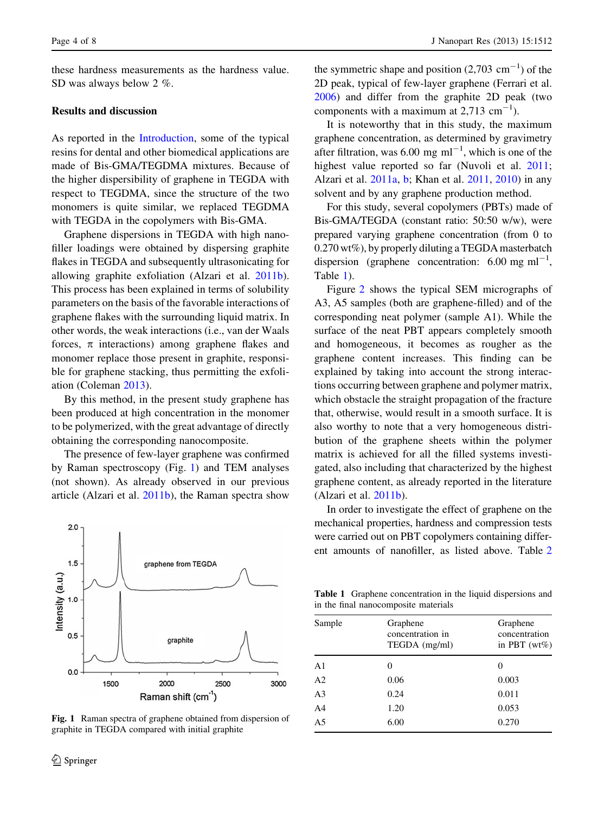these hardness measurements as the hardness value. SD was always below 2 %.

# Results and discussion

As reported in the [Introduction,](#page-0-0) some of the typical resins for dental and other biomedical applications are made of Bis-GMA/TEGDMA mixtures. Because of the higher dispersibility of graphene in TEGDA with respect to TEGDMA, since the structure of the two monomers is quite similar, we replaced TEGDMA with TEGDA in the copolymers with Bis-GMA.

Graphene dispersions in TEGDA with high nanofiller loadings were obtained by dispersing graphite flakes in TEGDA and subsequently ultrasonicating for allowing graphite exfoliation (Alzari et al. [2011b](#page-5-0)). This process has been explained in terms of solubility parameters on the basis of the favorable interactions of graphene flakes with the surrounding liquid matrix. In other words, the weak interactions (i.e., van der Waals forces,  $\pi$  interactions) among graphene flakes and monomer replace those present in graphite, responsible for graphene stacking, thus permitting the exfoliation (Coleman [2013\)](#page-6-0).

By this method, in the present study graphene has been produced at high concentration in the monomer to be polymerized, with the great advantage of directly obtaining the corresponding nanocomposite.

The presence of few-layer graphene was confirmed by Raman spectroscopy (Fig. 1) and TEM analyses (not shown). As already observed in our previous article (Alzari et al. [2011b](#page-5-0)), the Raman spectra show



Fig. 1 Raman spectra of graphene obtained from dispersion of graphite in TEGDA compared with initial graphite

the symmetric shape and position  $(2,703 \text{ cm}^{-1})$  of the 2D peak, typical of few-layer graphene (Ferrari et al. [2006\)](#page-6-0) and differ from the graphite 2D peak (two components with a maximum at  $2,713$  cm<sup>-1</sup>).

It is noteworthy that in this study, the maximum graphene concentration, as determined by gravimetry after filtration, was 6.00 mg  $ml^{-1}$ , which is one of the highest value reported so far (Nuvoli et al. [2011](#page-6-0); Alzari et al. [2011a](#page-5-0), [b;](#page-5-0) Khan et al. [2011,](#page-6-0) [2010\)](#page-6-0) in any solvent and by any graphene production method.

For this study, several copolymers (PBTs) made of Bis-GMA/TEGDA (constant ratio: 50:50 w/w), were prepared varying graphene concentration (from 0 to 0.270 wt%), by properly diluting a TEGDA masterbatch dispersion (graphene concentration:  $6.00 \text{ mg ml}^{-1}$ , Table 1).

Figure [2](#page-4-0) shows the typical SEM micrographs of A3, A5 samples (both are graphene-filled) and of the corresponding neat polymer (sample A1). While the surface of the neat PBT appears completely smooth and homogeneous, it becomes as rougher as the graphene content increases. This finding can be explained by taking into account the strong interactions occurring between graphene and polymer matrix, which obstacle the straight propagation of the fracture that, otherwise, would result in a smooth surface. It is also worthy to note that a very homogeneous distribution of the graphene sheets within the polymer matrix is achieved for all the filled systems investigated, also including that characterized by the highest graphene content, as already reported in the literature (Alzari et al. [2011b\)](#page-5-0).

In order to investigate the effect of graphene on the mechanical properties, hardness and compression tests were carried out on PBT copolymers containing different amounts of nanofiller, as listed above. Table [2](#page-4-0)

Table 1 Graphene concentration in the liquid dispersions and in the final nanocomposite materials

| Sample         | Graphene<br>concentration in<br>TEGDA (mg/ml) | Graphene<br>concentration<br>in PBT $(wt\%)$ |
|----------------|-----------------------------------------------|----------------------------------------------|
| A <sub>1</sub> | 0                                             | 0                                            |
| A <sub>2</sub> | 0.06                                          | 0.003                                        |
| A <sub>3</sub> | 0.24                                          | 0.011                                        |
| A <sub>4</sub> | 1.20                                          | 0.053                                        |
| A <sub>5</sub> | 6.00                                          | 0.270                                        |
|                |                                               |                                              |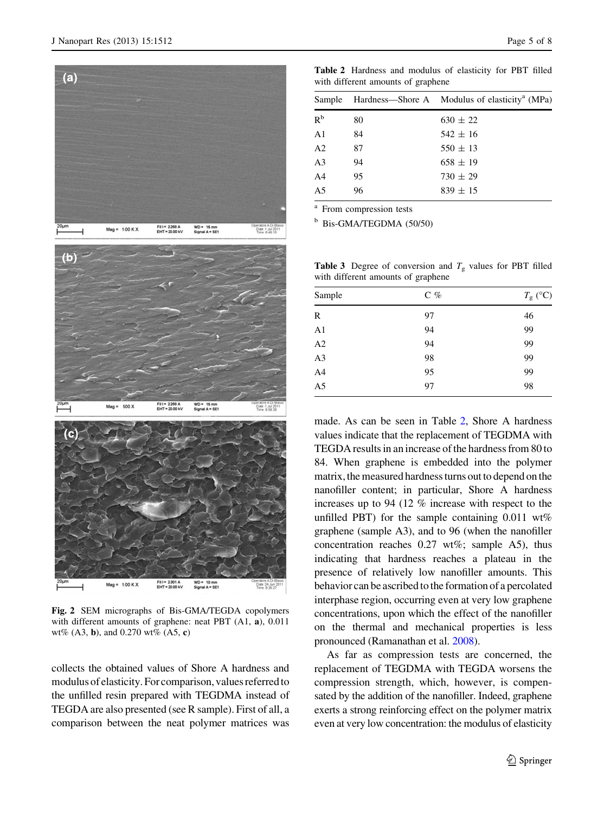<span id="page-4-0"></span>

Fig. 2 SEM micrographs of Bis-GMA/TEGDA copolymers with different amounts of graphene: neat PBT (A1, a), 0.011 wt% (A3, b), and 0.270 wt% (A5, c)

collects the obtained values of Shore A hardness and modulus of elasticity. For comparison, values referred to the unfilled resin prepared with TEGDMA instead of TEGDA are also presented (see R sample). First of all, a comparison between the neat polymer matrices was

| Sample         |    | Hardness—Shore A Modulus of elasticity <sup>a</sup> (MPa) |
|----------------|----|-----------------------------------------------------------|
| R <sup>b</sup> | 80 | $630 \pm 22$                                              |
| A <sub>1</sub> | 84 | $542 \pm 16$                                              |
| A <sub>2</sub> | 87 | $550 \pm 13$                                              |
| A <sub>3</sub> | 94 | $658 \pm 19$                                              |
| A <sub>4</sub> | 95 | $730 \pm 29$                                              |
| A <sub>5</sub> | 96 | $839 \pm 15$                                              |

<sup>a</sup> From compression tests

 $b$  Bis-GMA/TEGDMA (50/50)

**Table 3** Degree of conversion and  $T_g$  values for PBT filled with different amounts of graphene

| Sample         | $C$ % | $T_{\rm g}$ (°C) |
|----------------|-------|------------------|
| R              | 97    | 46               |
| A <sub>1</sub> | 94    | 99               |
| A2             | 94    | 99               |
| A <sub>3</sub> | 98    | 99               |
| A4             | 95    | 99               |
| A <sub>5</sub> | 97    | 98               |

made. As can be seen in Table 2, Shore A hardness values indicate that the replacement of TEGDMA with TEGDA results in an increase of the hardness from 80 to 84. When graphene is embedded into the polymer matrix, the measured hardness turns out to depend on the nanofiller content; in particular, Shore A hardness increases up to 94 (12 % increase with respect to the unfilled PBT) for the sample containing 0.011 wt% graphene (sample A3), and to 96 (when the nanofiller concentration reaches 0.27 wt%; sample A5), thus indicating that hardness reaches a plateau in the presence of relatively low nanofiller amounts. This behavior can be ascribed to the formation of a percolated interphase region, occurring even at very low graphene concentrations, upon which the effect of the nanofiller on the thermal and mechanical properties is less pronounced (Ramanathan et al. [2008\)](#page-6-0).

As far as compression tests are concerned, the replacement of TEGDMA with TEGDA worsens the compression strength, which, however, is compensated by the addition of the nanofiller. Indeed, graphene exerts a strong reinforcing effect on the polymer matrix even at very low concentration: the modulus of elasticity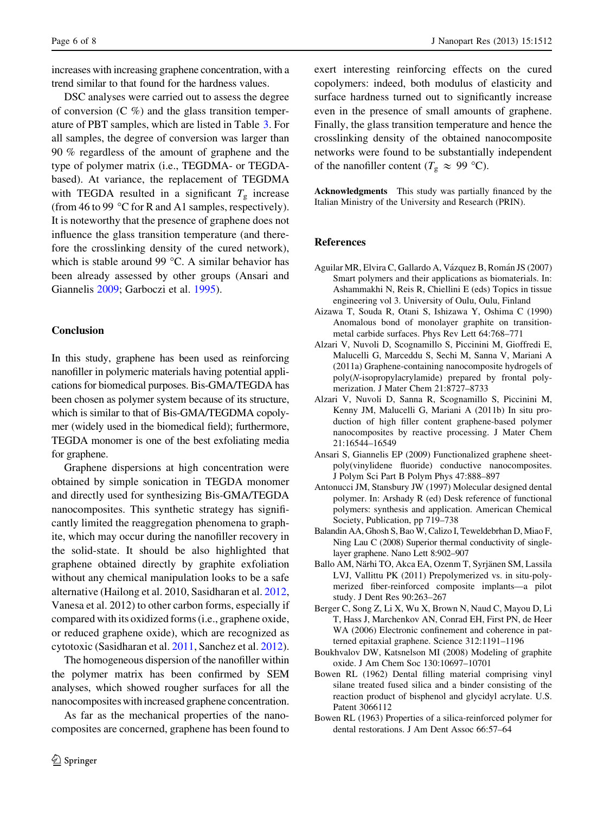<span id="page-5-0"></span>increases with increasing graphene concentration, with a trend similar to that found for the hardness values.

DSC analyses were carried out to assess the degree of conversion  $(C \%)$  and the glass transition temperature of PBT samples, which are listed in Table [3.](#page-4-0) For all samples, the degree of conversion was larger than 90 % regardless of the amount of graphene and the type of polymer matrix (i.e., TEGDMA- or TEGDAbased). At variance, the replacement of TEGDMA with TEGDA resulted in a significant  $T<sub>g</sub>$  increase (from 46 to 99 °C for R and A1 samples, respectively). It is noteworthy that the presence of graphene does not influence the glass transition temperature (and therefore the crosslinking density of the cured network), which is stable around 99  $\degree$ C. A similar behavior has been already assessed by other groups (Ansari and Giannelis 2009; Garboczi et al. [1995\)](#page-6-0).

# Conclusion

In this study, graphene has been used as reinforcing nanofiller in polymeric materials having potential applications for biomedical purposes. Bis-GMA/TEGDA has been chosen as polymer system because of its structure, which is similar to that of Bis-GMA/TEGDMA copolymer (widely used in the biomedical field); furthermore, TEGDA monomer is one of the best exfoliating media for graphene.

Graphene dispersions at high concentration were obtained by simple sonication in TEGDA monomer and directly used for synthesizing Bis-GMA/TEGDA nanocomposites. This synthetic strategy has significantly limited the reaggregation phenomena to graphite, which may occur during the nanofiller recovery in the solid-state. It should be also highlighted that graphene obtained directly by graphite exfoliation without any chemical manipulation looks to be a safe alternative (Hailong et al. 2010, Sasidharan et al. [2012,](#page-6-0) Vanesa et al. 2012) to other carbon forms, especially if compared with its oxidized forms (i.e., graphene oxide, or reduced graphene oxide), which are recognized as cytotoxic (Sasidharan et al. [2011,](#page-6-0) Sanchez et al. [2012](#page-6-0)).

The homogeneous dispersion of the nanofiller within the polymer matrix has been confirmed by SEM analyses, which showed rougher surfaces for all the nanocomposites with increased graphene concentration.

As far as the mechanical properties of the nanocomposites are concerned, graphene has been found to exert interesting reinforcing effects on the cured copolymers: indeed, both modulus of elasticity and surface hardness turned out to significantly increase even in the presence of small amounts of graphene. Finally, the glass transition temperature and hence the crosslinking density of the obtained nanocomposite networks were found to be substantially independent of the nanofiller content ( $T_g \approx 99$  °C).

Acknowledgments This study was partially financed by the Italian Ministry of the University and Research (PRIN).

## References

- Aguilar MR, Elvira C, Gallardo A, Vázquez B, Román JS (2007) Smart polymers and their applications as biomaterials. In: Ashammakhi N, Reis R, Chiellini E (eds) Topics in tissue engineering vol 3. University of Oulu, Oulu, Finland
- Aizawa T, Souda R, Otani S, Ishizawa Y, Oshima C (1990) Anomalous bond of monolayer graphite on transitionmetal carbide surfaces. Phys Rev Lett 64:768–771
- Alzari V, Nuvoli D, Scognamillo S, Piccinini M, Gioffredi E, Malucelli G, Marceddu S, Sechi M, Sanna V, Mariani A (2011a) Graphene-containing nanocomposite hydrogels of poly(N-isopropylacrylamide) prepared by frontal polymerization. J Mater Chem 21:8727–8733
- Alzari V, Nuvoli D, Sanna R, Scognamillo S, Piccinini M, Kenny JM, Malucelli G, Mariani A (2011b) In situ production of high filler content graphene-based polymer nanocomposites by reactive processing. J Mater Chem 21:16544–16549
- Ansari S, Giannelis EP (2009) Functionalized graphene sheetpoly(vinylidene fluoride) conductive nanocomposites. J Polym Sci Part B Polym Phys 47:888–897
- Antonucci JM, Stansbury JW (1997) Molecular designed dental polymer. In: Arshady R (ed) Desk reference of functional polymers: synthesis and application. American Chemical Society, Publication, pp 719–738
- Balandin AA, Ghosh S, Bao W, Calizo I, Teweldebrhan D, Miao F, Ning Lau C (2008) Superior thermal conductivity of singlelayer graphene. Nano Lett 8:902–907
- Ballo AM, Närhi TO, Akca EA, Ozenm T, Syrjänen SM, Lassila LVJ, Vallittu PK (2011) Prepolymerized vs. in situ-polymerized fiber-reinforced composite implants—a pilot study. J Dent Res 90:263–267
- Berger C, Song Z, Li X, Wu X, Brown N, Naud C, Mayou D, Li T, Hass J, Marchenkov AN, Conrad EH, First PN, de Heer WA (2006) Electronic confinement and coherence in patterned epitaxial graphene. Science 312:1191–1196
- Boukhvalov DW, Katsnelson MI (2008) Modeling of graphite oxide. J Am Chem Soc 130:10697–10701
- Bowen RL (1962) Dental filling material comprising vinyl silane treated fused silica and a binder consisting of the reaction product of bisphenol and glycidyl acrylate. U.S. Patent 3066112
- Bowen RL (1963) Properties of a silica-reinforced polymer for dental restorations. J Am Dent Assoc 66:57–64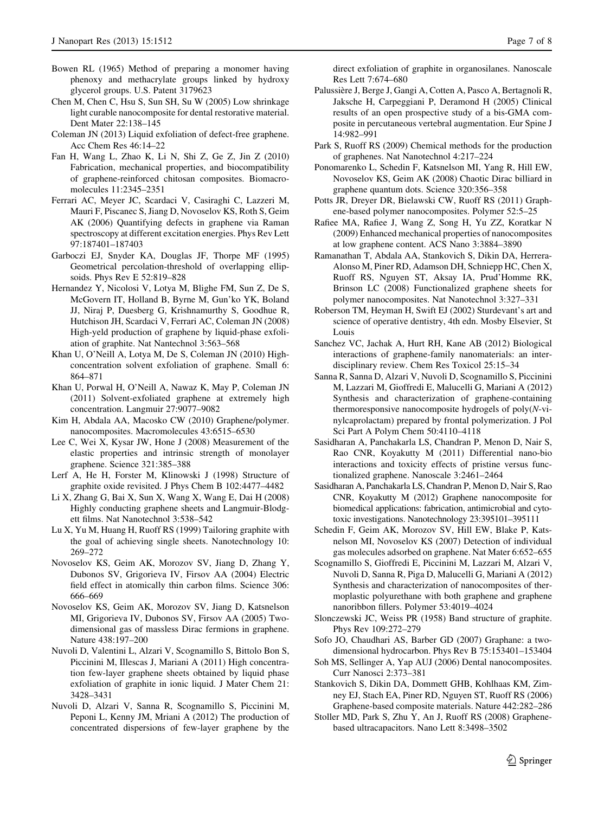- <span id="page-6-0"></span>Bowen RL (1965) Method of preparing a monomer having phenoxy and methacrylate groups linked by hydroxy glycerol groups. U.S. Patent 3179623
- Chen M, Chen C, Hsu S, Sun SH, Su W (2005) Low shrinkage light curable nanocomposite for dental restorative material. Dent Mater 22:138–145
- Coleman JN (2013) Liquid exfoliation of defect-free graphene. Acc Chem Res 46:14–22
- Fan H, Wang L, Zhao K, Li N, Shi Z, Ge Z, Jin Z (2010) Fabrication, mechanical properties, and biocompatibility of graphene-reinforced chitosan composites. Biomacromolecules 11:2345–2351
- Ferrari AC, Meyer JC, Scardaci V, Casiraghi C, Lazzeri M, Mauri F, Piscanec S, Jiang D, Novoselov KS, Roth S, Geim AK (2006) Quantifying defects in graphene via Raman spectroscopy at different excitation energies. Phys Rev Lett 97:187401–187403
- Garboczi EJ, Snyder KA, Douglas JF, Thorpe MF (1995) Geometrical percolation-threshold of overlapping ellipsoids. Phys Rev E 52:819–828
- Hernandez Y, Nicolosi V, Lotya M, Blighe FM, Sun Z, De S, McGovern IT, Holland B, Byrne M, Gun'ko YK, Boland JJ, Niraj P, Duesberg G, Krishnamurthy S, Goodhue R, Hutchison JH, Scardaci V, Ferrari AC, Coleman JN (2008) High-yeld production of graphene by liquid-phase exfoliation of graphite. Nat Nantechnol 3:563–568
- Khan U, O'Neill A, Lotya M, De S, Coleman JN (2010) Highconcentration solvent exfoliation of graphene. Small 6: 864–871
- Khan U, Porwal H, O'Neill A, Nawaz K, May P, Coleman JN (2011) Solvent-exfoliated graphene at extremely high concentration. Langmuir 27:9077–9082
- Kim H, Abdala AA, Macosko CW (2010) Graphene/polymer. nanocomposites. Macromolecules 43:6515–6530
- Lee C, Wei X, Kysar JW, Hone J (2008) Measurement of the elastic properties and intrinsic strength of monolayer graphene. Science 321:385–388
- Lerf A, He H, Forster M, Klinowski J (1998) Structure of graphite oxide revisited. J Phys Chem B 102:4477–4482
- Li X, Zhang G, Bai X, Sun X, Wang X, Wang E, Dai H (2008) Highly conducting graphene sheets and Langmuir-Blodgett films. Nat Nanotechnol 3:538–542
- Lu X, Yu M, Huang H, Ruoff RS (1999) Tailoring graphite with the goal of achieving single sheets. Nanotechnology 10: 269–272
- Novoselov KS, Geim AK, Morozov SV, Jiang D, Zhang Y, Dubonos SV, Grigorieva IV, Firsov AA (2004) Electric field effect in atomically thin carbon films. Science 306: 666–669
- Novoselov KS, Geim AK, Morozov SV, Jiang D, Katsnelson MI, Grigorieva IV, Dubonos SV, Firsov AA (2005) Twodimensional gas of massless Dirac fermions in graphene. Nature 438:197–200
- Nuvoli D, Valentini L, Alzari V, Scognamillo S, Bittolo Bon S, Piccinini M, Illescas J, Mariani A (2011) High concentration few-layer graphene sheets obtained by liquid phase exfoliation of graphite in ionic liquid. J Mater Chem 21: 3428–3431
- Nuvoli D, Alzari V, Sanna R, Scognamillo S, Piccinini M, Peponi L, Kenny JM, Mriani A (2012) The production of concentrated dispersions of few-layer graphene by the

direct exfoliation of graphite in organosilanes. Nanoscale Res Lett 7:674–680

- Palussière J, Berge J, Gangi A, Cotten A, Pasco A, Bertagnoli R, Jaksche H, Carpeggiani P, Deramond H (2005) Clinical results of an open prospective study of a bis-GMA composite in percutaneous vertebral augmentation. Eur Spine J 14:982–991
- Park S, Ruoff RS (2009) Chemical methods for the production of graphenes. Nat Nanotechnol 4:217–224
- Ponomarenko L, Schedin F, Katsnelson MI, Yang R, Hill EW, Novoselov KS, Geim AK (2008) Chaotic Dirac billiard in graphene quantum dots. Science 320:356–358
- Potts JR, Dreyer DR, Bielawski CW, Ruoff RS (2011) Graphene-based polymer nanocomposites. Polymer 52:5–25
- Rafiee MA, Rafiee J, Wang Z, Song H, Yu ZZ, Koratkar N (2009) Enhanced mechanical properties of nanocomposites at low graphene content. ACS Nano 3:3884–3890
- Ramanathan T, Abdala AA, Stankovich S, Dikin DA, Herrera-Alonso M, Piner RD, Adamson DH, Schniepp HC, Chen X, Ruoff RS, Nguyen ST, Aksay IA, Prud'Homme RK, Brinson LC (2008) Functionalized graphene sheets for polymer nanocomposites. Nat Nanotechnol 3:327–331
- Roberson TM, Heyman H, Swift EJ (2002) Sturdevant's art and science of operative dentistry, 4th edn. Mosby Elsevier, St Louis
- Sanchez VC, Jachak A, Hurt RH, Kane AB (2012) Biological interactions of graphene-family nanomaterials: an interdisciplinary review. Chem Res Toxicol 25:15–34
- Sanna R, Sanna D, Alzari V, Nuvoli D, Scognamillo S, Piccinini M, Lazzari M, Gioffredi E, Malucelli G, Mariani A (2012) Synthesis and characterization of graphene-containing thermoresponsive nanocomposite hydrogels of poly(N-vinylcaprolactam) prepared by frontal polymerization. J Pol Sci Part A Polym Chem 50:4110–4118
- Sasidharan A, Panchakarla LS, Chandran P, Menon D, Nair S, Rao CNR, Koyakutty M (2011) Differential nano-bio interactions and toxicity effects of pristine versus functionalized graphene. Nanoscale 3:2461–2464
- Sasidharan A, Panchakarla LS, Chandran P, Menon D, Nair S, Rao CNR, Koyakutty M (2012) Graphene nanocomposite for biomedical applications: fabrication, antimicrobial and cytotoxic investigations. Nanotechnology 23:395101–395111
- Schedin F, Geim AK, Morozov SV, Hill EW, Blake P, Katsnelson MI, Novoselov KS (2007) Detection of individual gas molecules adsorbed on graphene. Nat Mater 6:652–655
- Scognamillo S, Gioffredi E, Piccinini M, Lazzari M, Alzari V, Nuvoli D, Sanna R, Piga D, Malucelli G, Mariani A (2012) Synthesis and characterization of nanocomposites of thermoplastic polyurethane with both graphene and graphene nanoribbon fillers. Polymer 53:4019–4024
- Slonczewski JC, Weiss PR (1958) Band structure of graphite. Phys Rev 109:272–279
- Sofo JO, Chaudhari AS, Barber GD (2007) Graphane: a twodimensional hydrocarbon. Phys Rev B 75:153401–153404
- Soh MS, Sellinger A, Yap AUJ (2006) Dental nanocomposites. Curr Nanosci 2:373–381
- Stankovich S, Dikin DA, Dommett GHB, Kohlhaas KM, Zimney EJ, Stach EA, Piner RD, Nguyen ST, Ruoff RS (2006) Graphene-based composite materials. Nature 442:282–286
- Stoller MD, Park S, Zhu Y, An J, Ruoff RS (2008) Graphenebased ultracapacitors. Nano Lett 8:3498–3502